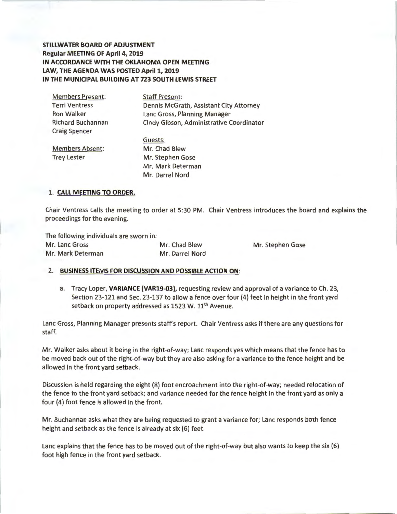**STILLWATER BOARD OF ADJUSTMENT Regular MEETING OF April 4, 2019 IN ACCORDANCE WITH THE OKLAHOMA OPEN MEETING LAW, THE AGENDA WAS POSTED April 1, 2019 IN THE MUNICIPAL BUILDING AT 723 SOUTH LEWIS STREET** 

| <b>Members Present:</b>  | <b>Staff Present:</b>                    |
|--------------------------|------------------------------------------|
| <b>Terri Ventress</b>    | Dennis McGrath, Assistant City Attorney  |
| <b>Ron Walker</b>        | Lanc Gross, Planning Manager             |
| <b>Richard Buchannan</b> | Cindy Gibson, Administrative Coordinator |
| <b>Craig Spencer</b>     |                                          |
|                          | Guests:                                  |
| <b>Members Absent:</b>   | Mr. Chad Blew                            |
| <b>Trey Lester</b>       | Mr. Stephen Gose                         |
|                          | Mr. Mark Determan                        |

Mr. Darrel Nord

### 1. **CALL MEETING TO ORDER.**

Chair Ventress calls the meeting to order at 5:30 PM. Chair Ventress introduces the board and explains the proceedings for the evening.

The following individuals are sworn in: Mr. Lane Gross Mr. Chad Blew Mr. Stephen Gose

Mr. Mark Determan Mr. Darrel Nord

#### 2. **BUSINESS ITEMS FOR DISCUSSION AND POSSIBLE ACTION ON :**

a. Tracy Loper, **VARIANCE {VAR19-03),** requesting review and approval of a variance to Ch. 23, Section 23-121 and Sec. 23-137 to allow a fence over four (4) feet in height in the front yard setback on property addressed as  $1523$  W.  $11<sup>th</sup>$  Avenue.

Lane Gross, Planning Manager presents staffs report. Chair Ventress asks if there are any questions for staff.

Mr. Walker asks about it being in the right-of-way; Lane responds yes which means that the fence has to be moved back out of the right-of-way but they are also asking for a variance to the fence height and be allowed in the front yard setback.

Discussion is held regarding the eight (8) foot encroachment into the right-of-way; needed relocation of the fence to the front yard setback; and variance needed for the fence height in the front yard as only a four (4) foot fence is allowed in the front.

Mr. Buchannan asks what they are being requested to grant a variance for; Lane responds both fence height and setback as the fence is already at six (6) feet.

Lanc explains that the fence has to be moved out of the right-of-way but also wants to keep the six (6) foot high fence in the front yard setback.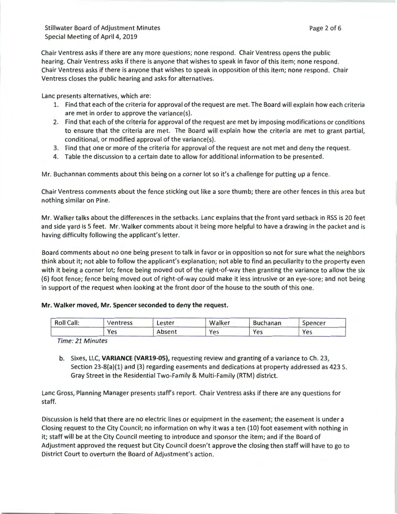Chair Ventress asks if there are any more questions; none respond. Chair Ventress opens the public hearing. Chair Ventress asks if there is anyone that wishes to speak in favor of this item; none respond . Chair Ventress asks if there is anyone that wishes to speak in opposition of this item; none respond. Chair Ventress closes the public hearing and asks for alternatives.

Lanc presents alternatives, which are:

- 1. Find that each of the criteria for approval of the request are met. The Board will explain how each criteria are met in order to approve the variance(s).
- 2. Find that each of the criteria for approval of the request are met by imposing modifications or conditions to ensure that the criteria are met. The Board will explain how the criteria are met to grant partial, conditional, or modified approval of the variance(s).
- 3. Find that one or more of the criteria for approval of the request are not met and deny the request.
- 4. Table the discussion to a certain date to allow for additional information to be presented.

Mr. Buchannan comments about this being on a corner lot so it's a challenge for putting up a fence.

Chair Ventress comments about the fence sticking out like a sore thumb; there are other fences in this area but nothing similar on Pine.

Mr. Walker talks about the differences in the setbacks. Lane explains that the front yard setback in RSS is 20 feet and side yard is 5 feet. Mr. Walker comments about it being more helpful to have a drawing in the packet and is having difficulty following the applicant's letter.

Board comments about no one being present to talk in favor or in opposition so not for sure what the neighbors think about it; not able to follow the applicant's explanation; not able to find an peculiarity to the property even with it being a corner lot; fence being moved out of the right-of-way then granting the variance to allow the six (6) foot fence; fence being moved out of right-of-way could make it less intrusive or an eye-sore; and not being in support of the request when looking at the front door of the house to the south of this one.

# **Mr. Walker moved, Mr. Spencer seconded to deny the request.**

| <b>Roll Call:</b> | Ventress | Lester | Walker | <b>Buchanan</b> | Spencer |
|-------------------|----------|--------|--------|-----------------|---------|
|                   | Yes      | Absent | Yes    | Yes             | Yes     |

Time: 21 Minutes

b. Sixes, LLC, **VARIANCE (VAR19-0S),** requesting review and granting of a variance to Ch. 23, Section 23-8(a)(l) and (3) regarding easements and dedications at property addressed as 423 S. Gray Street in the Residential Two-Family & Multi-Family (RTM) district.

Lane Gross, Planning Manager presents staff's report. Chair Ventress asks if there are any questions for staff.

Discussion is held that there are no electric lines or equipment in the easement; the easement is under a Closing request to the City Council; no information on why it was a ten (10) foot easement with nothing in it; staff will be at the City Council meeting to introduce and sponsor the item; and if the Board of Adjustment approved the request but City Council doesn't approve the closing then staff will have to go to District Court to overturn the Board of Adjustment's action.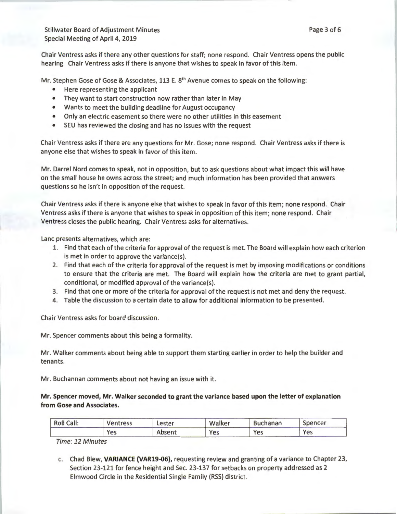Chair Ventress asks if there any other questions for staff; none respond. Chair Ventress opens the public hearing. Chair Ventress asks if there is anyone that wishes to speak in favor of this item.

Mr. Stephen Gose of Gose & Associates, 113 E.  $8<sup>th</sup>$  Avenue comes to speak on the following:

- Here representing the applicant
- They want to start construction now rather than later in May
- Wants to meet the building deadline for August occupancy
- Only an electric easement so there were no other utilities in this easement
- SEU has reviewed the closing and has no issues with the request

Chair Ventress asks if there are any questions for Mr. Gose; none respond. Chair Ventress asks if there is anyone else that wishes to speak in favor of this item .

Mr. Darrel Nord comes to speak, not in opposition, but to ask questions about what impact this will have on the small house he owns across the street; and much information has been provided that answers questions so he isn't in opposition of the request.

Chair Ventress asks if there is anyone else that wishes to speak in favor of this item; none respond . Chair Ventress asks if there is anyone that wishes to speak in opposition of this item; none respond. Chair Ventress closes the public hearing. Chair Ventress asks for alternatives.

Lanc presents alternatives, which are:

- 1. Find that each of the criteria for approval of the request is met. The Board will explain how each criterion is met in order to approve the variance(s).
- 2. Find that each of the criteria for approval of the request is met by imposing modifications or conditions to ensure that the criteria are met. The Board will explain how the criteria are met to grant partial, conditional, or modified approval of the variance(s).
- 3. Find that one or more of the criteria for approval of the request is not met and deny the request.
- 4. Table the discussion to a certain date to allow for additional information to be presented.

Chair Ventress asks for board discussion.

Mr. Spencer comments about this being a formality.

Mr. Walker comments about being able to support them starting earlier in order to help the builder and tenants.

Mr. Buchannan comments about not having an issue with it.

Mr. Spencer moved, Mr. Walker seconded to grant the variance based upon the letter of explanation from Gose and Associates.

| Call:<br>Roll | Ventress | .ester | Walker | <b>Buchanan</b> | opencer |
|---------------|----------|--------|--------|-----------------|---------|
|               | Yes      | Absent | Yes    | Yes             | Yes     |

Time: 12 Minutes

c. Chad Blew, VARIANCE {VAR19-06), requesting review and granting of a variance to Chapter 23, Section 23-121 for fence height and Sec. 23-137 for setbacks on property addressed as 2 Elmwood Circle in the Residential Single Family (RSS) district.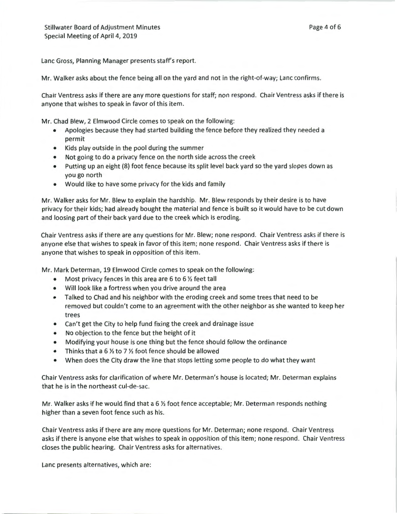Lanc Gross, Planning Manager presents staff's report.

Mr. Walker asks about the fence being all on the yard and not in the right-of-way; Lane confirms.

Chair Ventress asks if there are any more questions for staff; non respond. Chair Ventress asks if there is anyone that wishes to speak in favor of this item.

Mr. Chad Blew, 2 Elmwood Circle comes to speak on the following:

- Apologies because they had started building the fence before they realized they needed a permit
- Kids play outside in the pool during the summer
- Not going to do a privacy fence on the north side across the creek
- Putting up an eight (8) foot fence because its split level back yard so the yard slopes down as you go north
- Would like to have some privacy for the kids and family

Mr. Walker asks for Mr. Blew to explain the hardship. Mr. Blew responds by their desire is to have privacy for their kids; had already bought the material and fence is built so it would have to be cut down and loosing part of their back yard due to the creek which is eroding.

Chair Ventress asks if there are any questions for Mr. Blew; none respond. Chair Ventress asks if there is anyone else that wishes to speak in favor of this item; none respond. Chair Ventress asks if there is anyone that wishes to speak in opposition of this item.

Mr. Mark Determan, 19 Elmwood Circle comes to speak on the following:

- Most privacy fences in this area are 6 to 6 *Yi* feet tall
- Will look like a fortress when you drive around the area
- Talked to Chad and his neighbor with the eroding creek and some trees that need to be removed but couldn't come to an agreement with the other neighbor as she wanted to keep her trees
- Can't get the City to help fund fixing the creek and drainage issue
- No objection to the fence but the height of it
- Modifying your house is one thing but the fence should follow the ordinance
- Thinks that a 6 *Yi* to 7 *Yi* foot fence should be allowed
- When does the City draw the line that stops letting some people to do what they want

Chair Ventress asks for clarification of where Mr. Determan's house is located; Mr. Determan explains that he is in the northeast cul-de-sac.

Mr. Walker asks if he would find that a 6 *Yi* foot fence acceptable; Mr. Determan responds nothing higher than a seven foot fence such as his.

Chair Ventress asks if there are any more questions for Mr. Determan; none respond . Chair Ventress asks if there is anyone else that wishes to speak in opposition of this item; none respond. Chair Ventress closes the public hearing. Chair Ventress asks for alternatives.

Lanc presents alternatives, which are: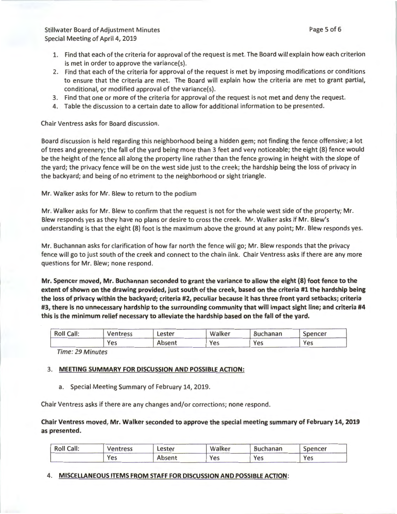- 1. Find that each of the criteria for approval of the request is met. The Board will explain how each criterion is met in order to approve the variance(s).
- 2. Find that each of the criteria for approval of the request is met by imposing modifications or conditions to ensure that the criteria are met. The Board will explain how the criteria are met to grant partial, conditional, or modified approval of the variance(s).
- 3. Find that one or more of the criteria for approval of the request is not met and deny the request.
- 4. Table the discussion to a certain date to allow for additional information to be presented.

Chair Ventress asks for Board discussion.

Board discussion is held regarding this neighborhood being a hidden gem; not finding the fence offensive; a lot of trees and greenery; the fall of the yard being more than 3 feet and very noticeable; the eight (8) fence would be the height of the fence all along the property line rather than the fence growing in height with the slope of the yard; the privacy fence will be on the west side just to the creek; the hardship being the loss of privacy in the backyard; and being of no etriment to the neighborhood or sight triangle.

Mr. Walker asks for Mr. Blew to return to the podium

Mr. Walker asks for Mr. Blew to confirm that the request is not for the whole west side of the property; Mr. Blew responds yes as they have no plans or desire to cross the creek. Mr. Walker asks if Mr. Blew's understanding is that the eight (8) foot is the maximum above the ground at any point; Mr. Blew responds yes.

Mr. Buchannan asks for clarification of how far north the fence will go; Mr. Blew responds that the privacy fence will go to just south of the creek and connect to the chain link. Chair Ventress asks if there are any more questions for Mr. Blew; none respond.

Mr. Spencer moved, Mr. Buchannan seconded to grant the variance to allow the eight (8) foot fence to the extent of shown on the drawing provided, just south of the creek, based on the criteria #1 the hardship being the loss of privacy within the backyard; criteria #2, peculiar because it has three front yard setbacks; criteria #3, there is no unnecessary hardship to the surrounding community that will impact sight line; and criteria #4 this is the minimum relief necessary to alleviate the hardship based on the fall of the yard.

| <b>Roll Call:</b> | Ventress | ∟ester | Walker | <b>Buchanan</b> | Spencer |
|-------------------|----------|--------|--------|-----------------|---------|
|                   | Yes      | Absent | Yes    | Yes             | Yes     |

Time: 29 Minutes

# 3. MEETING SUMMARY FOR DISCUSSION AND POSSIBLE ACTION:

a. Special Meeting Summary of February 14, 2019.

Chair Ventress asks if there are any changes and/or corrections; none respond.

Chair Ventress moved, Mr. Walker seconded to approve the special meeting summary of February 14, 2019 as presented.

| Roll Call: | <b>Ventress</b> | Lester | Walker | <b>Buchanan</b> | Spencer |
|------------|-----------------|--------|--------|-----------------|---------|
|            | Yes             | Absent | Yes    | Yes             | Yes     |

# 4. MISCELLANEOUS ITEMS FROM STAFF FOR DISCUSSION AND POSSIBLE ACTION: